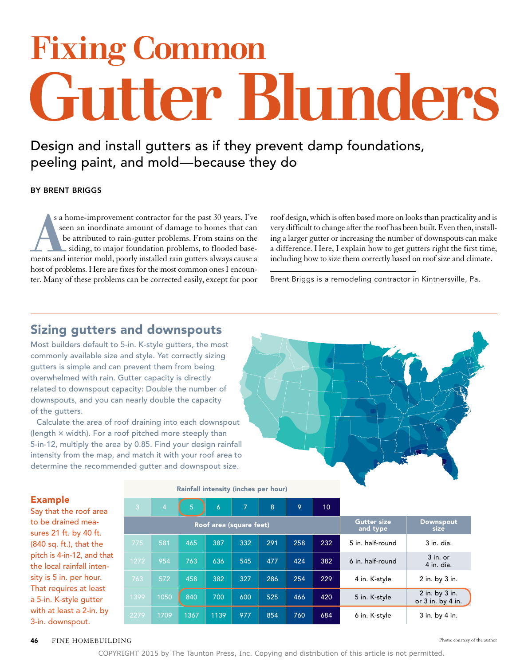# Fixing Common Gutter Blunders

Design and install gutters as if they prevent damp foundations, peeling paint, and mold—because they do

#### By Brent Briggs

s a home-improvement contractor for the past 30 years, I've<br>seen an inordinate amount of damage to homes that can<br>be attributed to rain-gutter problems. From stains on the<br>siding, to major foundation problems, to flooded b s a home-improvement contractor for the past 30 years, I've seen an inordinate amount of damage to homes that can be attributed to rain-gutter problems. From stains on the siding, to major foundation problems, to flooded basehost of problems. Here are fixes for the most common ones I encounter. Many of these problems can be corrected easily, except for poor

roof design, which is often based more on looks than practicality and is very difficult to change after the roof has been built. Even then, installing a larger gutter or increasing the number of downspouts can make a difference. Here, I explain how to get gutters right the first time, including how to size them correctly based on roof size and climate.

Brent Briggs is a remodeling contractor in Kintnersville, Pa.

### Sizing gutters and downspouts

Most builders default to 5-in. K-style gutters, the most commonly available size and style. Yet correctly sizing gutters is simple and can prevent them from being overwhelmed with rain. Gutter capacity is directly related to downspout capacity: Double the number of downspouts, and you can nearly double the capacity of the gutters.

Calculate the area of roof draining into each downspout (length  $\times$  width). For a roof pitched more steeply than 5-in-12, multiply the area by 0.85. Find your design rainfall intensity from the map, and match it with your roof area to determine the recommended gutter and downspout size.



#### Example

Say that the roof area to be drained measures 21 ft. by 40 ft. (840 sq. ft.), that the pitch is 4-in-12, and that the local rainfall intensity is 5 in. per hour. That requires at least a 5-in. K-style gutter with at least a 2-in. by 3-in. downspout.

#### Rainfall intensity (inches per hour)

| $\overline{3}$          | $\overline{4}$ | 5 <sup>5</sup> | 6    | 7   | 8   | 9   | 10  |                                |                                         |
|-------------------------|----------------|----------------|------|-----|-----|-----|-----|--------------------------------|-----------------------------------------|
| Roof area (square feet) |                |                |      |     |     |     |     | <b>Gutter size</b><br>and type | <b>Downspout</b><br>size                |
| 775                     | 581            | 465            | 387  | 332 | 291 | 258 | 232 | 5 in. half-round               | $3$ in. dia.                            |
| 1272                    | 954            | 763            | 636  | 545 | 477 | 424 | 382 | 6 in. half-round               | $3$ in. or<br>4 in. dia.                |
| 763                     | 572            | 458            | 382  | 327 | 286 | 254 | 229 | 4 in. K-style                  | 2 in. by 3 in.                          |
| 1399                    | 1050           | 840            | 700  | 600 | 525 | 466 | 420 | 5 in. K-style                  | 2 in. by 3 in.<br>or $3$ in. by $4$ in. |
| 2279                    | 1709           | 1367           | 1139 | 977 | 854 | 760 | 684 | 6 in. K-style                  | 3 in. by 4 in.                          |

#### **46** FINE HOMEBUILDING Photo: courtesy of the author

COPYRIGHT 2015 by The Taunton Press, Inc. Copying and distribution of this article is not permitted.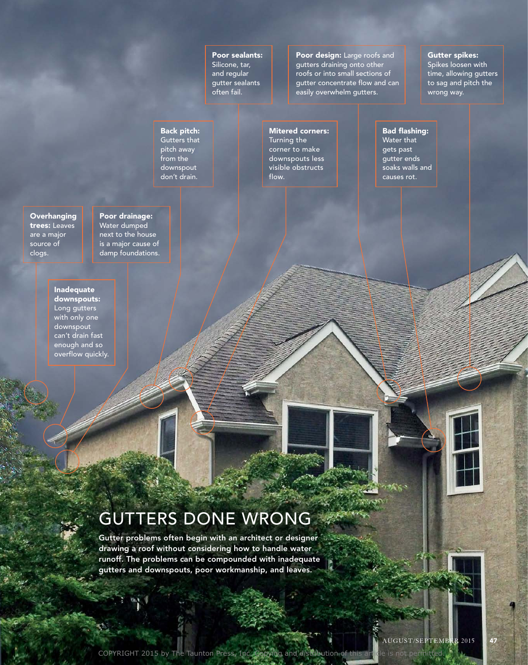Poor sealants: Silicone, tar, and regular gutter sealants often fail.

Poor design: Large roofs and gutters draining onto other roofs or into small sections of gutter concentrate flow and can easily overwhelm gutters.

#### Gutter spikes:

Spikes loosen with time, allowing gutters to sag and pitch the wrong way.

#### Back pitch: Gutters that

pitch away from the downspout don't drain.

#### Mitered corners:

Turning the corner to make downspouts less visible obstructs flow.

#### Bad flashing: Water that

gets past gutter ends soaks walls and causes rot.

**Overhanging** trees: Leaves are a major source of clogs.

Poor drainage: Water dumped next to the house is a major cause of damp foundations.

Inadequate downspouts: Long gutters with only one downspout can't drain fast enough and so overflow quickly.

## GUTTERS DONE WRONG

Gutter problems often begin with an architect or designer drawing a roof without considering how to handle water runoff. The problems can be compounded with inadequate gutters and downspouts, poor workmanship, and leaves.

 $\mathscr{M} \times \mathscr{N}$ 

**SPRAGE**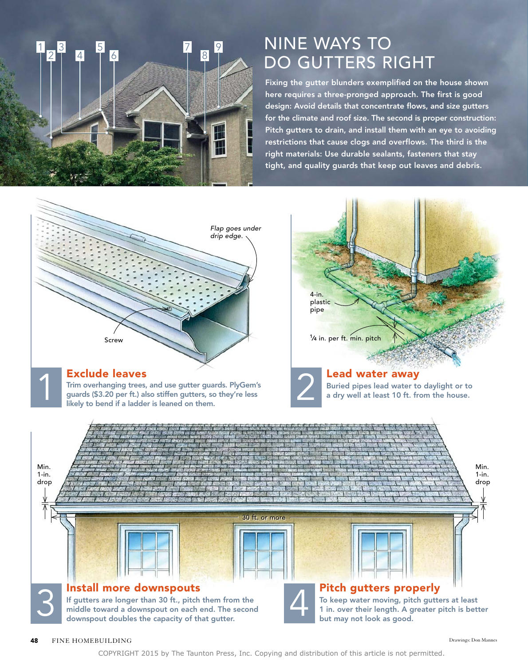## NINE WAYS TO DO GUTTERS RIGHT

Fixing the gutter blunders exemplified on the house shown here requires a three-pronged approach. The first is good design: Avoid details that concentrate flows, and size gutters for the climate and roof size. The second is proper construction: Pitch gutters to drain, and install them with an eye to avoiding restrictions that cause clogs and overflows. The third is the right materials: Use durable sealants, fasteners that stay tight, and quality guards that keep out leaves and debris.



8 7 9

6 5

4

3 2 1

COPYRIGHT 2015 by The Taunton Press, Inc. Copying and distribution of this article is not permitted.